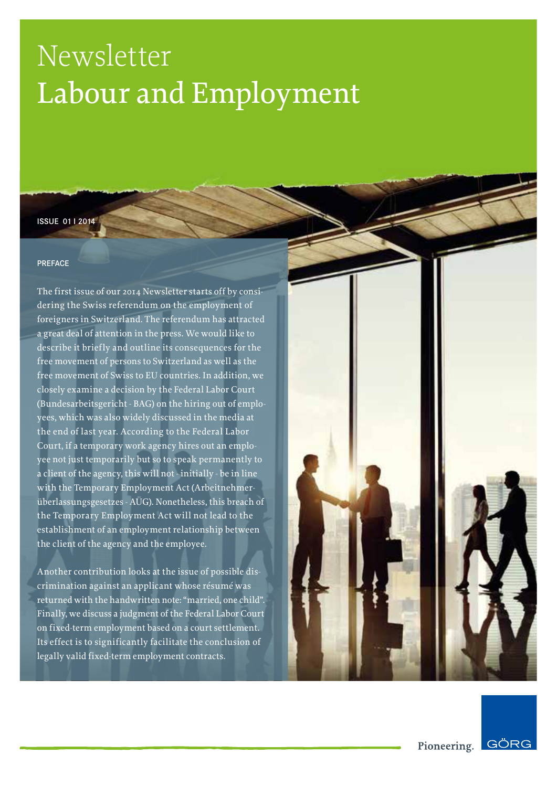#### ISSUE 01 I 2014

#### **PREFACE**

The first issue of our 2014 Newsletter starts off by considering the Swiss referendum on the employment of foreigners in Switzerland. The referendum has attracted a great deal of attention in the press. We would like to describe it briefly and outline its consequences for the free movement of persons to Switzerland as well as the free movement of Swiss to EU countries. In addition, we closely examine a decision by the Federal Labor Court (Bundesarbeitsgericht - BAG) on the hiring out of employees, which was also widely discussed in the media at the end of last year. According to the Federal Labor Court, if a temporary work agency hires out an employee not just temporarily but so to speak permanently to a client of the agency, this will not - initially - be in line with the Temporary Employment Act (Arbeitnehmerüberlassungsgesetzes - AÜG). Nonetheless, this breach of the Temporary Employment Act will not lead to the establishment of an employment relationship between the client of the agency and the employee.

Another contribution looks at the issue of possible discrimination against an applicant whose résumé was returned with the handwritten note: "married, one child". Finally, we discuss a judgment of the Federal Labor Court on fixed-term employment based on a court settlement. Its effect is to significantly facilitate the conclusion of legally valid fixed-term employment contracts.



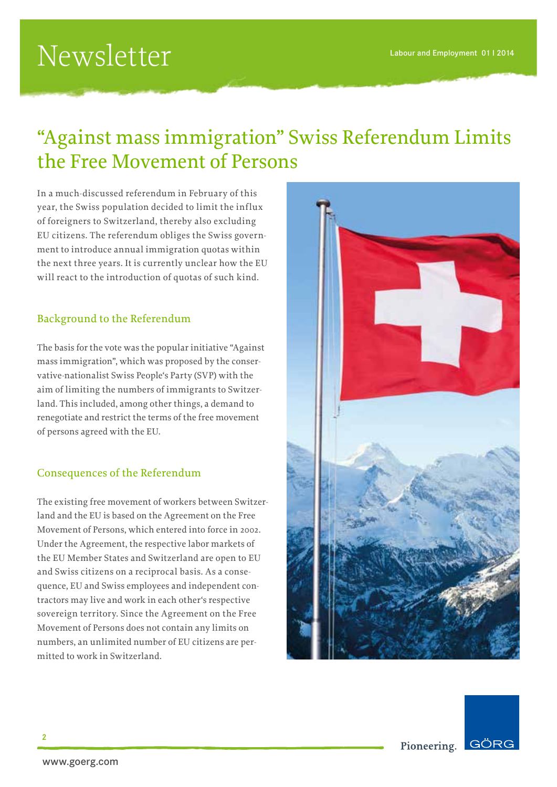## "Against mass immigration" Swiss Referendum Limits the Free Movement of Persons

In a much-discussed referendum in February of this year, the Swiss population decided to limit the influx of foreigners to Switzerland, thereby also excluding EU citizens. The referendum obliges the Swiss government to introduce annual immigration quotas within the next three years. It is currently unclear how the EU will react to the introduction of quotas of such kind.

## Background to the Referendum

The basis for the vote was the popular initiative "Against mass immigration", which was proposed by the conservative-nationalist Swiss People's Party (SVP) with the aim of limiting the numbers of immigrants to Switzerland. This included, among other things, a demand to renegotiate and restrict the terms of the free movement of persons agreed with the EU.

## Consequences of the Referendum

The existing free movement of workers between Switzerland and the EU is based on the Agreement on the Free Movement of Persons, which entered into force in 2002. Under the Agreement, the respective labor markets of the EU Member States and Switzerland are open to EU and Swiss citizens on a reciprocal basis. As a consequence, EU and Swiss employees and independent contractors may live and work in each other's respective sovereign territory. Since the Agreement on the Free Movement of Persons does not contain any limits on numbers, an unlimited number of EU citizens are permitted to work in Switzerland.



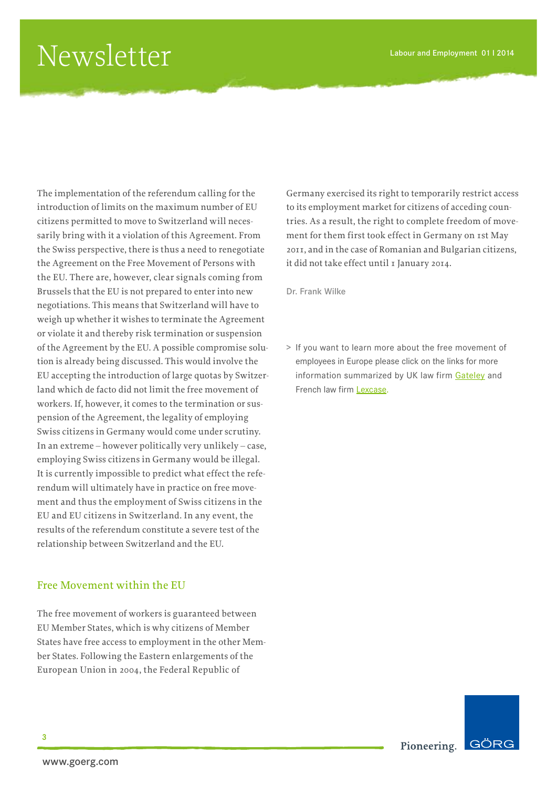The implementation of the referendum calling for the introduction of limits on the maximum number of EU citizens permitted to move to Switzerland will necessarily bring with it a violation of this Agreement. From the Swiss perspective, there is thus a need to renegotiate the Agreement on the Free Movement of Persons with the EU. There are, however, clear signals coming from Brussels that the EU is not prepared to enter into new negotiations. This means that Switzerland will have to weigh up whether it wishes to terminate the Agreement or violate it and thereby risk termination or suspension of the Agreement by the EU. A possible compromise solution is already being discussed. This would involve the EU accepting the introduction of large quotas by Switzerland which de facto did not limit the free movement of workers. If, however, it comes to the termination or suspension of the Agreement, the legality of employing Swiss citizens in Germany would come under scrutiny. In an extreme – however politically very unlikely – case, employing Swiss citizens in Germany would be illegal. It is currently impossible to predict what effect the referendum will ultimately have in practice on free movement and thus the employment of Swiss citizens in the EU and EU citizens in Switzerland. In any event, the results of the referendum constitute a severe test of the relationship between Switzerland and the EU.

### Free Movement within the EU

The free movement of workers is guaranteed between EU Member States, which is why citizens of Member States have free access to employment in the other Member States. Following the Eastern enlargements of the European Union in 2004, the Federal Republic of

Germany exercised its right to temporarily restrict access to its employment market for citizens of acceding countries. As a result, the right to complete freedom of movement for them first took effect in Germany on 1st May 2011, and in the case of Romanian and Bulgarian citizens, it did not take effect until 1 January 2014.

Dr. Frank Wilke

> If you want to learn more about the free movement of employees in Europe please click on the links for more information summarized by UK law firm [Gateley](http://talkinghrblog.gateleyuk.com/2014/04/16/posting-workers-abroad-key-issues-for-uk-employers-to-consider/) and French law firm [Lexcase](http://www.lexcase.com/en/publications/our-articles/employment-law/1358-posted-workers-and-social-dumping.html).

Pioneering. GÖRG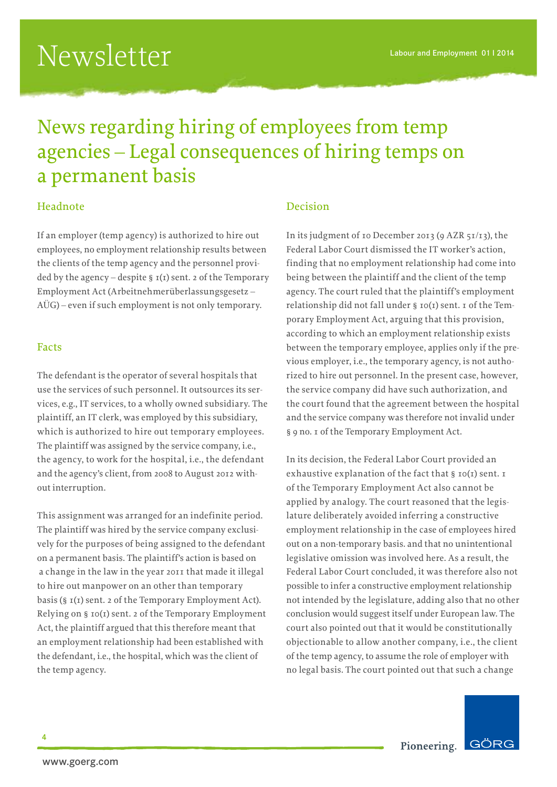# News regarding hiring of employees from temp agencies – Legal consequences of hiring temps on a permanent basis

#### **Headnote**

If an employer (temp agency) is authorized to hire out employees, no employment relationship results between the clients of the temp agency and the personnel provided by the agency – despite  $\S$   $I(I)$  sent. 2 of the Temporary Employment Act (Arbeitnehmerüberlassungsgesetz – AÜG) – even if such employment is not only temporary.

#### Facts

The defendant is the operator of several hospitals that use the services of such personnel. It outsources its services, e.g., IT services, to a wholly owned subsidiary. The plaintiff, an IT clerk, was employed by this subsidiary, which is authorized to hire out temporary employees. The plaintiff was assigned by the service company, i.e., the agency, to work for the hospital, i.e., the defendant and the agency's client, from 2008 to August 2012 without interruption.

This assignment was arranged for an indefinite period. The plaintiff was hired by the service company exclusively for the purposes of being assigned to the defendant on a permanent basis. The plaintiff's action is based on a change in the law in the year 2011 that made it illegal to hire out manpower on an other than temporary basis (§ 1(1) sent. 2 of the Temporary Employment Act). Relying on § 10(1) sent. 2 of the Temporary Employment Act, the plaintiff argued that this therefore meant that an employment relationship had been established with the defendant, i.e., the hospital, which was the client of the temp agency.

#### Decision

In its judgment of 10 December 2013 (9 AZR 51/13), the Federal Labor Court dismissed the IT worker's action, finding that no employment relationship had come into being between the plaintiff and the client of the temp agency. The court ruled that the plaintiff's employment relationship did not fall under § 10(1) sent. 1 of the Temporary Employment Act, arguing that this provision, according to which an employment relationship exists between the temporary employee, applies only if the previous employer, i.e., the temporary agency, is not authorized to hire out personnel. In the present case, however, the service company did have such authorization, and the court found that the agreement between the hospital and the service company was therefore not invalid under § 9 no. 1 of the Temporary Employment Act.

In its decision, the Federal Labor Court provided an exhaustive explanation of the fact that § 10(1) sent. 1 of the Temporary Employment Act also cannot be applied by analogy. The court reasoned that the legislature deliberately avoided inferring a constructive employment relationship in the case of employees hired out on a non-temporary basis. and that no unintentional legislative omission was involved here. As a result, the Federal Labor Court concluded, it was therefore also not possible to infer a constructive employment relationship not intended by the legislature, adding also that no other conclusion would suggest itself under European law. The court also pointed out that it would be constitutionally objectionable to allow another company, i.e., the client of the temp agency, to assume the role of employer with no legal basis. The court pointed out that such a change

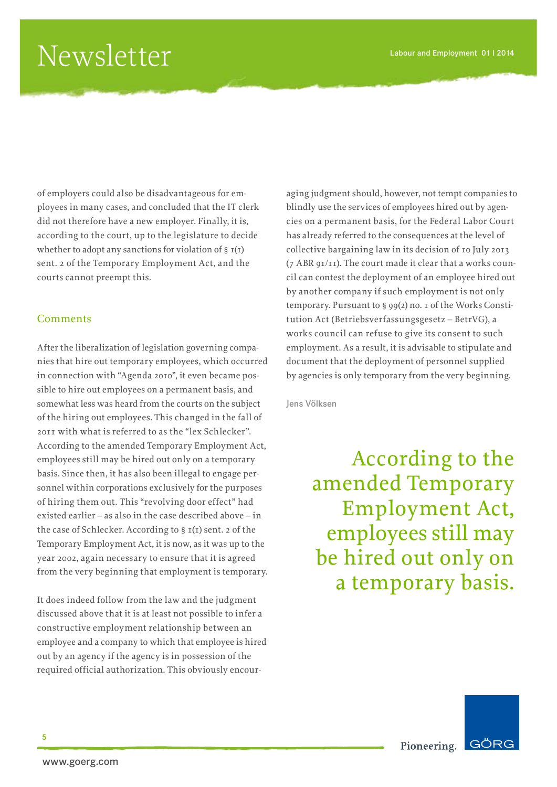of employers could also be disadvantageous for em ployees in many cases, and concluded that the IT clerk did not therefore have a new employer. Finally, it is, according to the court, up to the legislature to decide whether to adopt any sanctions for violation of  $\S I(I)$ sent. 2 of the Temporary Employment Act, and the courts cannot preempt this.

#### Comments

After the liberalization of legislation governing companies that hire out temporary employees, which occurred in connection with "Agenda 2010", it even became possible to hire out employees on a permanent basis, and somewhat less was heard from the courts on the subject of the hiring out employees. This changed in the fall of 2011 with what is referred to as the "lex Schlecker". According to the amended Temporary Employment Act, employees still may be hired out only on a temporary basis. Since then, it has also been illegal to engage personnel within corporations exclusively for the purposes of hiring them out. This "revolving door effect" had existed earlier – as also in the case described above – in the case of Schlecker. According to § 1(1) sent. 2 of the Temporary Employment Act, it is now, as it was up to the year 2002, again necessary to ensure that it is agreed from the very beginning that employment is temporary.

It does indeed follow from the law and the judgment discussed above that it is at least not possible to infer a constructive employment relationship between an employee and a company to which that employee is hired out by an agency if the agency is in possession of the required official authorization. This obviously encour-

aging judgment should, however, not tempt companies to blindly use the services of employees hired out by agencies on a permanent basis, for the Federal Labor Court has already referred to the consequences at the level of collective bargaining law in its decision of 10 July 2013 (7 ABR 91/11). The court made it clear that a works council can contest the deployment of an employee hired out by another company if such employment is not only temporary. Pursuant to § 99(2) no. 1 of the Works Constitution Act (Betriebsverfassungsgesetz – BetrVG), a works council can refuse to give its consent to such employment. As a result, it is advisable to stipulate and document that the deployment of personnel supplied by agencies is only temporary from the very beginning.

Jens Völksen

According to the amended Temporary Employment Act, employees still may be hired out only on a temporary basis.

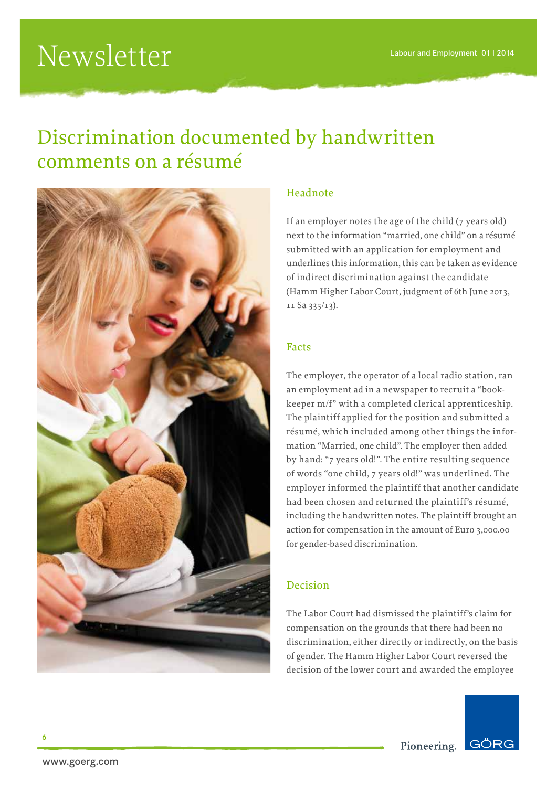## Discrimination documented by handwritten comments on a résumé



#### Headnote

If an employer notes the age of the child (7 years old) next to the information "married, one child" on a résumé submitted with an application for employment and underlines this information, this can be taken as evidence of indirect discrimination against the candidate (Hamm Higher Labor Court, judgment of 6th June 2013, 11 Sa 335/13).

### Facts

The employer, the operator of a local radio station, ran an employment ad in a newspaper to recruit a "bookkeeper m/f" with a completed clerical apprenticeship. The plaintiff applied for the position and submitted a résumé, which included among other things the information "Married, one child". The employer then added by hand: "7 years old!". The entire resulting sequence of words "one child, 7 years old!" was underlined. The employer informed the plaintiff that another candidate had been chosen and returned the plaintiff's résumé, including the handwritten notes. The plaintiff brought an action for compensation in the amount of Euro 3,000.00 for gender-based discrimination.

### Decision

The Labor Court had dismissed the plaintiff's claim for compensation on the grounds that there had been no discrimination, either directly or indirectly, on the basis of gender. The Hamm Higher Labor Court reversed the decision of the lower court and awarded the employee

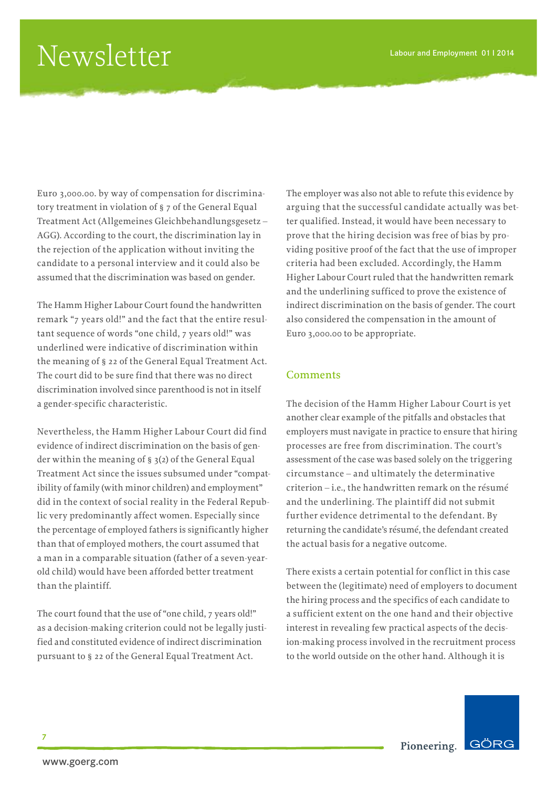Euro 3,000.00. by way of compensation for discriminatory treatment in violation of § 7 of the General Equal Treatment Act (Allgemeines Gleichbehandlungsgesetz – AGG). According to the court, the discrimination lay in the rejection of the application without inviting the candidate to a personal interview and it could also be assumed that the discrimination was based on gender.

The Hamm Higher Labour Court found the handwritten remark "7 years old!" and the fact that the entire resultant sequence of words "one child, 7 years old!" was underlined were indicative of discrimination within the meaning of § 22 of the General Equal Treatment Act. The court did to be sure find that there was no direct discrimination involved since parenthood is not in itself a gender-specific characteristic.

Nevertheless, the Hamm Higher Labour Court did find evidence of indirect discrimination on the basis of gender within the meaning of § 3(2) of the General Equal Treatment Act since the issues subsumed under "compatibility of family (with minor children) and employment" did in the context of social reality in the Federal Republic very predominantly affect women. Especially since the percentage of employed fathers is significantly higher than that of employed mothers, the court assumed that a man in a comparable situation (father of a seven-yearold child) would have been afforded better treatment than the plaintiff.

The court found that the use of "one child, 7 years old!" as a decision-making criterion could not be legally justified and constituted evidence of indirect discrimination pursuant to § 22 of the General Equal Treatment Act.

The employer was also not able to refute this evidence by arguing that the successful candidate actually was better qualified. Instead, it would have been necessary to prove that the hiring decision was free of bias by providing positive proof of the fact that the use of improper criteria had been excluded. Accordingly, the Hamm Higher Labour Court ruled that the handwritten remark and the underlining sufficed to prove the existence of indirect discrimination on the basis of gender. The court also considered the compensation in the amount of Euro 3,000.00 to be appropriate.

#### Comments

The decision of the Hamm Higher Labour Court is yet another clear example of the pitfalls and obstacles that employers must navigate in practice to ensure that hiring processes are free from discrimination. The court's assessment of the case was based solely on the triggering circumstance – and ultimately the determinative criterion – i.e., the handwritten remark on the résumé and the underlining. The plaintiff did not submit further evidence detrimental to the defendant. By returning the candidate's résumé, the defendant created the actual basis for a negative outcome.

There exists a certain potential for conflict in this case between the (legitimate) need of employers to document the hiring process and the specifics of each candidate to a sufficient extent on the one hand and their objective interest in revealing few practical aspects of the decision-making process involved in the recruitment process to the world outside on the other hand. Although it is

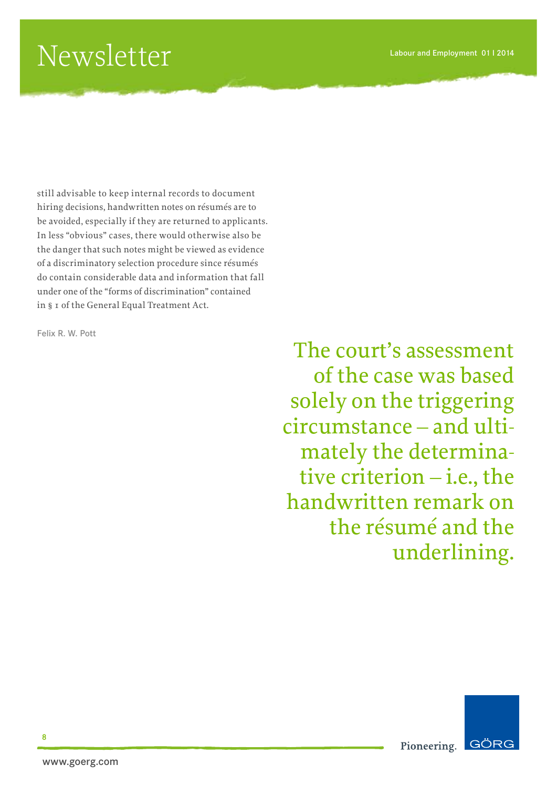still advisable to keep internal records to document hiring decisions, handwritten notes on résumés are to be avoided, especially if they are returned to applicants. In less "obvious" cases, there would otherwise also be the danger that such notes might be viewed as evidence of a discriminatory selection procedure since résumés do contain considerable data and information that fall under one of the "forms of discrimination" contained in § 1 of the General Equal Treatment Act.

Felix R. W. Pott

The court's assessment of the case was based solely on the triggering circumstance – and ultimately the determinative criterion – i.e., the handwritten remark on the résumé and the underlining.

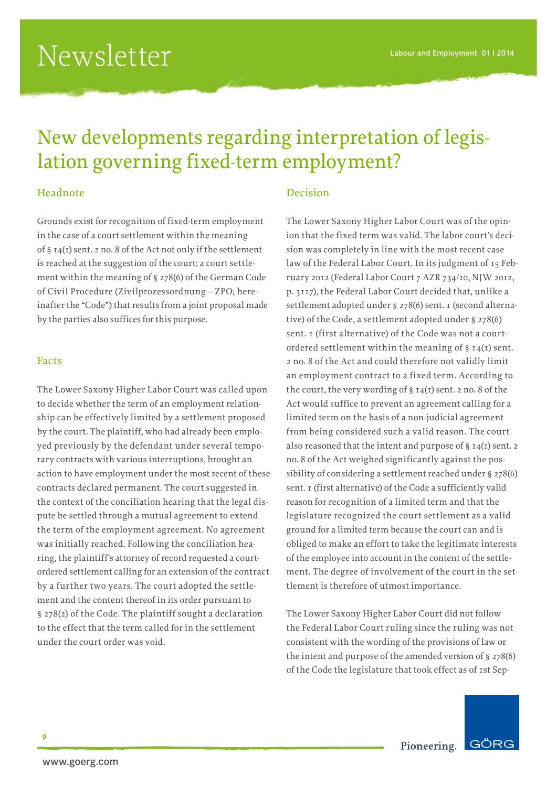## New developments regarding interpretation of legislation governing fixed-term employment?

### Headnote

Grounds exist for recognition of fixed-term employment in the case of a court settlement within the meaning of § 14(1) sent. 2 no. 8 of the Act not only if the settlement is reached at the suggestion of the court; a court settlement within the meaning of § 278(6) of the German Code of Civil Procedure (Zivilprozessordnung – ZPO; hereinafter the "Code") that results from a joint proposal made by the parties also suffices for this purpose.

#### Facts

The Lower Saxony Higher Labor Court was called upon to decide whether the term of an employment relationship can be effectively limited by a settlement proposed by the court. The plaintiff, who had already been employed previously by the defendant under several temporary contracts with various interruptions, brought an action to have employment under the most recent of these contracts declared permanent. The court suggested in the context of the conciliation hearing that the legal dispute be settled through a mutual agreement to extend the term of the employment agreement. No agreement was initially reached. Following the conciliation hearing, the plaintiff's attorney of record requested a courtordered settlement calling for an extension of the contract by a further two years. The court adopted the settlement and the content thereof in its order pursuant to § 278(2) of the Code. The plaintiff sought a declaration to the effect that the term called for in the settlement under the court order was void.

### Decision

The Lower Saxony Higher Labor Court was of the opinion that the fixed term was valid. The labor court's decision was completely in line with the most recent case law of the Federal Labor Court. In its judgment of 15 February 2012 (Federal Labor Court 7 AZR 734/10, NJW 2012, p. 3117), the Federal Labor Court decided that, unlike a settlement adopted under § 278(6) sent. 1 (second alternative) of the Code, a settlement adopted under § 278(6) sent. I (first alternative) of the Code was not a courtordered settlement within the meaning of § 14(1) sent. 2 no. 8 of the Act and could therefore not validly limit an employment contract to a fixed term. According to the court, the very wording of § 14(1) sent. 2 no. 8 of the Act would suffice to prevent an agreement calling for a limited term on the basis of a non-judicial agreement from being considered such a valid reason. The court also reasoned that the intent and purpose of § 14(1) sent. 2 no. 8 of the Act weighed significantly against the possibility of considering a settlement reached under § 278(6) sent. I (first alternative) of the Code a sufficiently valid reason for recognition of a limited term and that the legislature recognized the court settlement as a valid ground for a limited term because the court can and is obliged to make an effort to take the legitimate interests of the employee into account in the content of the settlement. The degree of involvement of the court in the settlement is therefore of utmost importance.

The Lower Saxony Higher Labor Court did not follow the Federal Labor Court ruling since the ruling was not consistent with the wording of the provisions of law or the intent and purpose of the amended version of § 278(6) of the Code the legislature that took effect as of 1st Sep-



Pioneering.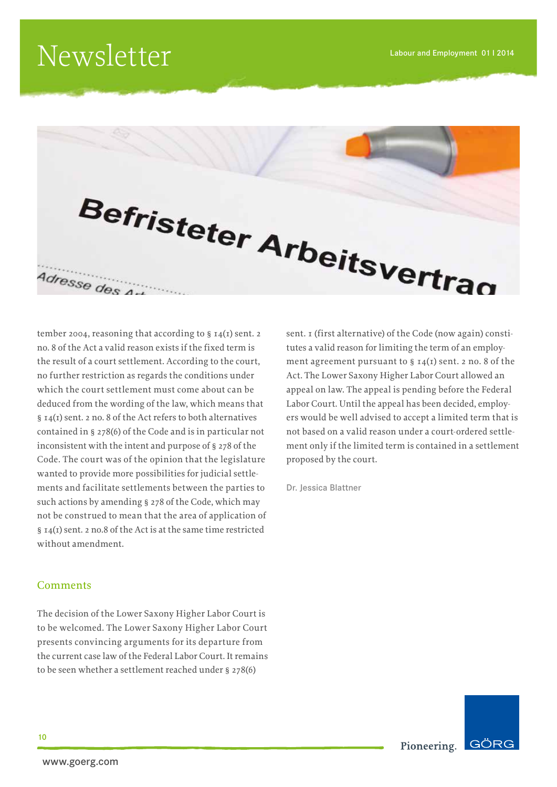

tember 2004, reasoning that according to § 14(1) sent. 2 no. 8 of the Act a valid reason exists if the fixed term is the result of a court settlement. According to the court, no further restriction as regards the conditions under which the court settlement must come about can be deduced from the wording of the law, which means that § 14(1) sent. 2 no. 8 of the Act refers to both alternatives contained in § 278(6) of the Code and is in particular not inconsistent with the intent and purpose of § 278 of the Code. The court was of the opinion that the legislature wanted to provide more possibilities for judicial settlements and facilitate settlements between the parties to such actions by amending § 278 of the Code, which may not be construed to mean that the area of application of § 14(1) sent. 2 no.8 of the Act is at the same time restricted without amendment.

## tutes a valid reason for limiting the term of an employment agreement pursuant to  $\S$  14(1) sent. 2 no. 8 of the Act. The Lower Saxony Higher Labor Court allowed an appeal on law. The appeal is pending before the Federal Labor Court. Until the appeal has been decided, employers would be well advised to accept a limited term that is not based on a valid reason under a court-ordered settlement only if the limited term is contained in a settlement proposed by the court.

sent. I (first alternative) of the Code (now again) consti-

Dr. Jessica Blattner

#### **Comments**

The decision of the Lower Saxony Higher Labor Court is to be welcomed. The Lower Saxony Higher Labor Court presents convincing arguments for its departure from the current case law of the Federal Labor Court. It remains to be seen whether a settlement reached under § 278(6)